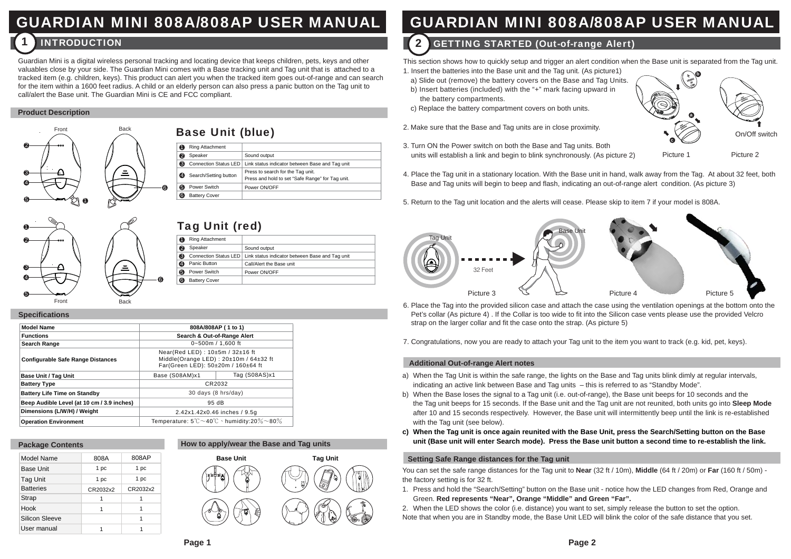# GUARDIAN MINI 808A/808AP USER MANUAL

#### **INTRODUCTION 2** 1

Guardian Mini is a digital wireless personal tracking and locating device that keeps children, pets, keys and other valuables close by your side. The Guardian Mini comes with a Base tracking unit and Tag unit that is attached to a tracked item (e.g. children, keys). This product can alert you when the tracked item goes out-of-range and can search for the item within a 1600 feet radius. A child or an elderly person can also press a panic button on the Tag unit to call/alert the Base unit. The Guardian Mini is CE and FCC compliant.

### **Product Description**



| 2 | 000   |             |   |
|---|-------|-------------|---|
| 2 | с     | å           | ❺ |
| 5 | Front | <b>Back</b> |   |

## Base Unit (blue)

|   | Ring Attachment       |                                                                                       |
|---|-----------------------|---------------------------------------------------------------------------------------|
|   | Speaker               | Sound output                                                                          |
| ଈ | Connection Status LED | Link status indicator between Base and Tag unit                                       |
| 4 | Search/Setting button | Press to search for the Tag unit.<br>Press and hold to set "Safe Range" for Tag unit. |
| 6 | Power Switch          | Power ON/OFF                                                                          |
|   | <b>Battery Cover</b>  |                                                                                       |

## Tag Unit (red)

|   | Ring Attachment      |                                                                         |
|---|----------------------|-------------------------------------------------------------------------|
|   | Speaker              | Sound output                                                            |
| ദ |                      | Connection Status LED   Link status indicator between Base and Tag unit |
|   | Panic Button         | Call/Alert the Base unit                                                |
|   | Power Switch         | Power ON/OFF                                                            |
|   | <b>Battery Cover</b> |                                                                         |

#### **Specifications**

| <b>Model Name</b>                          | 808A/808AP (1 to 1)                                                                                            |               |
|--------------------------------------------|----------------------------------------------------------------------------------------------------------------|---------------|
| <b>Functions</b>                           | Search & Out-of-Range Alert                                                                                    |               |
| Search Range                               | 0~500m / 1.600 ft                                                                                              |               |
| <b>Configurable Safe Range Distances</b>   | Near(Red LED): 10±5m / 32±16 ft<br>Middle(Orange LED): 20±10m / 64±32 ft<br>Far(Green LED): 50±20m / 160±64 ft |               |
| <b>Base Unit / Tag Unit</b>                | Base (S08AM)x1                                                                                                 | Tag (S08AS)x1 |
| <b>Battery Type</b>                        | CR2032                                                                                                         |               |
| <b>Battery Life Time on Standby</b>        | 30 days (8 hrs/day)                                                                                            |               |
| Beep Audible Level (at 10 cm / 3.9 inches) | 95dB                                                                                                           |               |
| Dimensions (L/W/H) / Weight                | 2.42x1.42x0.46 inches / 9.5q                                                                                   |               |
| <b>Operation Environment</b>               | Temperature: $5^{\circ}$ C $\sim$ 40 $^{\circ}$ C $\cdot$ humidity:20 $\%$ $\sim$ 80 $\%$                      |               |

6

### **Package Contents**

| Model Name       | 808A     | 808AP    |
|------------------|----------|----------|
| <b>Base Unit</b> | 1 pc     | 1 pc     |
| <b>Tag Unit</b>  | 1 pc     | 1 pc     |
| <b>Batteries</b> | CR2032x2 | CR2032x2 |
| <b>Strap</b>     | 1        |          |
| Hook             | 1        |          |
| Silicon Sleeve   |          |          |
| User manual      |          |          |
|                  |          |          |



## GUARDIAN MINI 808A/808AP USER MANUAL

## **GETTING STARTED (Out-of-range Alert)**

This section shows how to quickly setup and trigger an alert condition when the Base unit is separated from the Tag unit.

- 1. Insert the batteries into the Base unit and the Tag unit. (As picture1)
- a) Slide out (remove) the battery covers on the Base and Tag Units. b) Insert batteries (included) with the "+" mark facing upward in the battery compartments.
- c) Replace the battery compartment covers on both units.
- 2. Make sure that the Base and Tag units are in close proximity.



3. Turn ON the Power switch on both the Base and Tag units. Both units will establish a link and begin to blink synchronously. (As picture 2)

Picture 1 Picture 2

On/Off switch

- 4. Place the Tag unit in a stationary location. With the Base unit in hand, walk away from the Tag. At about 32 feet, both Base and Tag units will begin to beep and flash, indicating an out-of-range alert condition. (As picture 3)
- 5. Return to the Tag unit location and the alerts will cease. Please skip to item 7 if your model is 808A.



- 6. Place the Tag into the provided silicon case and attach the case using the ventilation openings at the bottom onto the Pet's collar (As picture 4) . If the Collar is too wide to fit into the Silicon case vents please use the provided Velcro strap on the larger collar and fit the case onto the strap. (As picture 5)
- 7. Congratulations, now you are ready to attach your Tag unit to the item you want to track (e.g. kid, pet, keys).

### **Additional Out-of-range Alert notes**

- a) When the Tag Unit is within the safe range, the lights on the Base and Tag units blink dimly at regular intervals, indicating an active link between Base and Tag units – this is referred to as "Standby Mode".
- b) When the Base loses the signal to a Tag unit (i.e. out-of-range), the Base unit beeps for 10 seconds and the the Tag unit beeps for 15 seconds. If the Base unit and the Tag unit are not reunited, both units go into **Sleep Mode** after 10 and 15 seconds respectively. However, the Base unit will intermittently beep until the link is re-established with the Tag unit (see below).
- **c) When the Tag unit is once again reunited with the Base Unit, press the Search/Setting button on the Base unit (Base unit will enter Search mode). Press the Base unit button a second time to re-establish the link.**

### **Setting Safe Range distances for the Tag unit**

You can set the safe range distances for the Tag unit to **Near** (32 ft / 10m), **Middle** (64 ft / 20m) or **Far** (160 ft / 50m) the factory setting is for 32 ft.

- 1. Press and hold the "Search/Setting" button on the Base unit notice how the LED changes from Red, Orange and Green. **Red represents "Near", Orange "Middle" and Green "Far".**
- 2. When the LED shows the color (i.e. distance) you want to set, simply release the button to set the option. Note that when you are in Standby mode, the Base Unit LED will blink the color of the safe distance that you set.